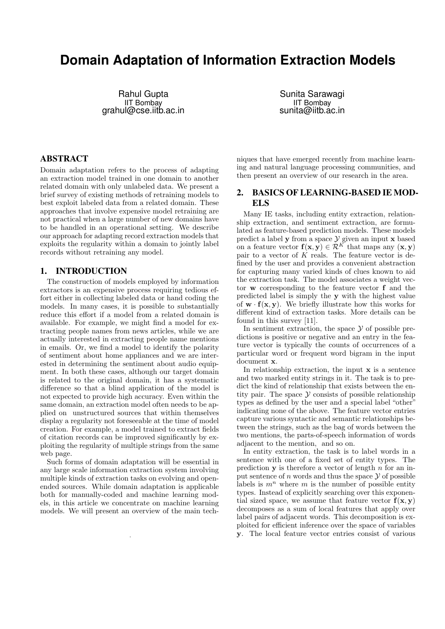# **Domain Adaptation of Information Extraction Models**

Rahul Gupta IIT Bombay grahul@cse.iitb.ac.in

Sunita Sarawagi IIT Bombay sunita@iitb.ac.in

### ABSTRACT

Domain adaptation refers to the process of adapting an extraction model trained in one domain to another related domain with only unlabeled data. We present a brief survey of existing methods of retraining models to best exploit labeled data from a related domain. These approaches that involve expensive model retraining are not practical when a large number of new domains have to be handled in an operational setting. We describe our approach for adapting record extraction models that exploits the regularity within a domain to jointly label records without retraining any model.

### 1. INTRODUCTION

The construction of models employed by information extractors is an expensive process requiring tedious effort either in collecting labeled data or hand coding the models. In many cases, it is possible to substantially reduce this effort if a model from a related domain is available. For example, we might find a model for extracting people names from news articles, while we are actually interested in extracting people name mentions in emails. Or, we find a model to identify the polarity of sentiment about home appliances and we are interested in determining the sentiment about audio equipment. In both these cases, although our target domain is related to the original domain, it has a systematic difference so that a blind application of the model is not expected to provide high accuracy. Even within the same domain, an extraction model often needs to be applied on unstructured sources that within themselves display a regularity not foreseeable at the time of model creation. For example, a model trained to extract fields of citation records can be improved significantly by exploiting the regularity of multiple strings from the same web page.

Such forms of domain adaptation will be essential in any large scale information extraction system involving multiple kinds of extraction tasks on evolving and openended sources. While domain adaptation is applicable both for manually-coded and machine learning models, in this article we concentrate on machine learning models. We will present an overview of the main tech-

.

niques that have emerged recently from machine learning and natural language processing communities, and then present an overview of our research in the area.

# 2. BASICS OF LEARNING-BASED IE MOD-ELS

Many IE tasks, including entity extraction, relationship extraction, and sentiment extraction, are formulated as feature-based prediction models. These models predict a label  $y$  from a space  $y$  given an input  $x$  based on a feature vector  $f(x, y) \in \mathcal{R}^K$  that maps any  $(x, y)$ pair to a vector of  $K$  reals. The feature vector is defined by the user and provides a convenient abstraction for capturing many varied kinds of clues known to aid the extraction task. The model associates a weight vector w corresponding to the feature vector f and the predicted label is simply the y with the highest value of  $\mathbf{w} \cdot \mathbf{f}(\mathbf{x}, \mathbf{y})$ . We briefly illustrate how this works for different kind of extraction tasks. More details can be found in this survey [11].

In sentiment extraction, the space  $\mathcal Y$  of possible predictions is positive or negative and an entry in the feature vector is typically the counts of occurrences of a particular word or frequent word bigram in the input document x.

In relationship extraction, the input  $x$  is a sentence and two marked entity strings in it. The task is to predict the kind of relationship that exists between the entity pair. The space  $\mathcal Y$  consists of possible relationship types as defined by the user and a special label "other" indicating none of the above. The feature vector entries capture various syntactic and semantic relationships between the strings, such as the bag of words between the two mentions, the parts-of-speech information of words adjacent to the mention, and so on.

In entity extraction, the task is to label words in a sentence with one of a fixed set of entity types. The prediction  $y$  is therefore a vector of length  $n$  for an input sentence of  $n$  words and thus the space  $\mathcal Y$  of possible labels is  $m^n$  where m is the number of possible entity types. Instead of explicitly searching over this exponential sized space, we assume that feature vector  $f(x, y)$ decomposes as a sum of local features that apply over label pairs of adjacent words. This decomposition is exploited for efficient inference over the space of variables y. The local feature vector entries consist of various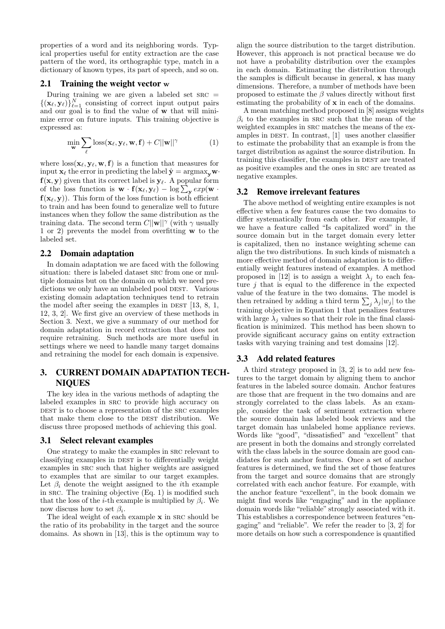properties of a word and its neighboring words. Typical properties useful for entity extraction are the case pattern of the word, its orthographic type, match in a dictionary of known types, its part of speech, and so on.

### 2.1 Training the weight vector w

During training we are given a labeled set  $SRC =$  ${(\mathbf{x}_{\ell}, \mathbf{y}_{\ell})}_{\ell=1}^{N}$  consisting of correct input output pairs and our goal is to find the value of w that will minimize error on future inputs. This training objective is expressed as:

$$
\min_{\mathbf{w}} \sum_{\ell} \text{loss}(\mathbf{x}_{\ell}, \mathbf{y}_{\ell}, \mathbf{w}, \mathbf{f}) + C ||\mathbf{w}||^{\gamma} \tag{1}
$$

where  $\cos(\mathbf{x}_\ell, \mathbf{y}_\ell, \mathbf{w}, \mathbf{f})$  is a function that measures for input  $\mathbf{x}_{\ell}$  the error in predicting the label  $\hat{\mathbf{y}} = \arg\max_{\mathbf{v}} \mathbf{w} \cdot$  $\mathbf{f}(\mathbf{x},\mathbf{y})$  given that its correct label is  $\mathbf{y}_\ell.$  A popular form of the loss function is  $\mathbf{w} \cdot \mathbf{f}(\mathbf{x}_{\ell}, \mathbf{y}_{\ell}) - \log \sum_{\mathbf{y}} exp(\mathbf{w} \cdot \mathbf{y}_{\ell})$  $f(x_\ell, y)$ . This form of the loss function is both efficient to train and has been found to generalize well to future instances when they follow the same distribution as the training data. The second term  $C||w||^{\gamma}$  (with  $\gamma$  usually 1 or 2) prevents the model from overfitting w to the labeled set.

### 2.2 Domain adaptation

In domain adaptation we are faced with the following situation: there is labeled dataset SRC from one or multiple domains but on the domain on which we need predictions we only have an unlabeled pool DEST. Various existing domain adaptation techniques tend to retrain the model after seeing the examples in DEST  $[13, 8, 1, 1]$ 12, 3, 2]. We first give an overview of these methods in Section 3. Next, we give a summary of our method for domain adaptation in record extraction that does not require retraining. Such methods are more useful in settings where we need to handle many target domains and retraining the model for each domain is expensive.

# 3. CURRENT DOMAIN ADAPTATION TECH-**NIQUES**

The key idea in the various methods of adapting the labeled examples in src to provide high accuracy on DEST is to choose a representation of the SRC examples that make them close to the DEST distribution. We discuss three proposed methods of achieving this goal.

### 3.1 Select relevant examples

One strategy to make the examples in src relevant to classifying examples in DEST is to differentially weight examples in src such that higher weights are assigned to examples that are similar to our target examples. Let  $\beta_i$  denote the weight assigned to the *i*th example in src. The training objective (Eq. 1) is modified such that the loss of the *i*-th example is multiplied by  $\beta_i$ . We now discuss how to set  $\beta_i$ .

The ideal weight of each example x in src should be the ratio of its probability in the target and the source domains. As shown in [13], this is the optimum way to

align the source distribution to the target distribution. However, this approach is not practical because we do not have a probability distribution over the examples in each domain. Estimating the distribution through the samples is difficult because in general, x has many dimensions. Therefore, a number of methods have been proposed to estimate the  $\beta$  values directly without first estimating the probability of x in each of the domains.

A mean matching method proposed in [8] assigns weights  $\beta_i$  to the examples in SRC such that the mean of the weighted examples in src matches the means of the examples in DEST. In contrast,  $[1]$  uses another classifier to estimate the probability that an example is from the target distribution as against the source distribution. In training this classifier, the examples in DEST are treated as positive examples and the ones in src are treated as negative examples.

### 3.2 Remove irrelevant features

The above method of weighting entire examples is not effective when a few features cause the two domains to differ systematically from each other. For example, if we have a feature called "Is capitalized word" in the source domain but in the target domain every letter is capitalized, then no instance weighting scheme can align the two distributions. In such kinds of mismatch a more effective method of domain adaptation is to differentially weight features instead of examples. A method proposed in [12] is to assign a weight  $\lambda_i$  to each feature  $i$  that is equal to the difference in the expected value of the feature in the two domains. The model is then retrained by adding a third term  $\sum_j \lambda_j |w_j|$  to the training objective in Equation 1 that penalizes features with large  $\lambda_j$  values so that their role in the final classification is minimized. This method has been shown to provide significant accuracy gains on entity extraction tasks with varying training and test domains [12].

### 3.3 Add related features

A third strategy proposed in [3, 2] is to add new features to the target domain by aligning them to anchor features in the labeled source domain. Anchor features are those that are frequent in the two domains and are strongly correlated to the class labels. As an example, consider the task of sentiment extraction where the source domain has labeled book reviews and the target domain has unlabeled home appliance reviews. Words like "good", "dissatisfied" and "excellent" that are present in both the domains and strongly correlated with the class labels in the source domain are good candidates for such anchor features. Once a set of anchor features is determined, we find the set of those features from the target and source domains that are strongly correlated with each anchor feature. For example, with the anchor feature "excellent", in the book domain we might find words like "engaging" and in the appliance domain words like "reliable" strongly associated with it. This establishes a correspondence between features "engaging" and "reliable". We refer the reader to [3, 2] for more details on how such a correspondence is quantified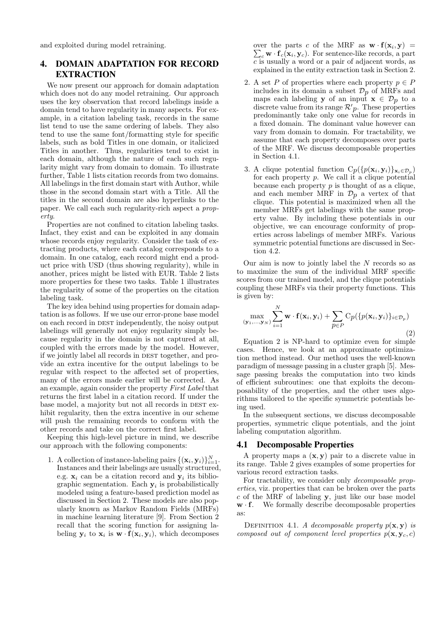and exploited during model retraining.

# 4. DOMAIN ADAPTATION FOR RECORD EXTRACTION

We now present our approach for domain adaptation which does not do any model retraining. Our approach uses the key observation that record labelings inside a domain tend to have regularity in many aspects. For example, in a citation labeling task, records in the same list tend to use the same ordering of labels. They also tend to use the same font/formatting style for specific labels, such as bold Titles in one domain, or italicized Titles in another. Thus, regularities tend to exist in each domain, although the nature of each such regularity might vary from domain to domain. To illustrate further, Table 1 lists citation records from two domains. All labelings in the first domain start with Author, while those in the second domain start with a Title. All the titles in the second domain are also hyperlinks to the paper. We call each such regularity-rich aspect a property.

Properties are not confined to citation labeling tasks. Infact, they exist and can be exploited in any domain whose records enjoy regularity. Consider the task of extracting products, where each catalog corresponds to a domain. In one catalog, each record might end a product price with USD (thus showing regularity), while in another, prices might be listed with EUR. Table 2 lists more properties for these two tasks. Table 1 illustrates the regularity of some of the properties on the citation labeling task.

The key idea behind using properties for domain adaptation is as follows. If we use our error-prone base model on each record in DEST independently, the noisy output labelings will generally not enjoy regularity simply because regularity in the domain is not captured at all, coupled with the errors made by the model. However, if we jointly label all records in DEST together, and provide an extra incentive for the output labelings to be regular with respect to the affected set of properties, many of the errors made earlier will be corrected. As an example, again consider the property First Label that returns the first label in a citation record. If under the base model, a majority but not all records in DEST exhibit regularity, then the extra incentive in our scheme will push the remaining records to conform with the other records and take on the correct first label.

Keeping this high-level picture in mind, we describe our approach with the following components:

1. A collection of instance-labeling pairs  $\{(\mathbf{x}_i, \mathbf{y}_i)\}_{i=1}^N$ . Instances and their labelings are usually structured, e.g.  $\mathbf{x}_i$  can be a citation record and  $\mathbf{y}_i$  its bibliographic segmentation. Each  $y_i$  is probabilistically modeled using a feature-based prediction model as discussed in Section 2. These models are also popularly known as Markov Random Fields (MRFs) in machine learning literature [9]. From Section 2 recall that the scoring function for assigning labeling  $y_i$  to  $x_i$  is  $w \cdot f(x_i, y_i)$ , which decomposes

over the parts c of the MRF as  $\mathbf{w} \cdot \mathbf{f}(\mathbf{x}_i, \mathbf{y}) =$ over the parts c of the MRF as  $\mathbf{w} \cdot \mathbf{f}(\mathbf{x}_i, \mathbf{y}) = \sum_c \mathbf{w} \cdot \mathbf{f}_c(\mathbf{x}_i, \mathbf{y}_c)$ . For sentence-like records, a part  $\overline{c}$  is usually a word or a pair of adjacent words, as explained in the entity extraction task in Section 2.

- 2. A set P of properties where each property  $p \in P$ includes in its domain a subset  $\mathcal{D}_p$  of MRFs and maps each labeling y of an input  $\mathbf{x} \in \mathcal{D}_p$  to a discrete value from its range  $\mathcal{R}'p$ . These properties predominantly take only one value for records in a fixed domain. The dominant value however can vary from domain to domain. For tractability, we assume that each property decomposes over parts of the MRF. We discuss decomposable properties in Section 4.1.
- 3. A clique potential function  $C_p(\{p(\mathbf{x}_i, \mathbf{y}_i)\}_{\mathbf{x}_i \in \mathcal{D}_p})$ for each property p. We call it a clique potential because each property  $p$  is thought of as a clique, and each member MRF in  $\mathcal{D}_p$  a vertex of that clique. This potential is maximized when all the member MRFs get labelings with the same property value. By including these potentials in our objective, we can encourage conformity of properties across labelings of member MRFs. Various symmetric potential functions are discussed in Section 4.2.

Our aim is now to jointly label the  $N$  records so as to maximize the sum of the individual MRF specific scores from our trained model, and the clique potentials coupling these MRFs via their property functions. This is given by:

$$
\max_{(\mathbf{y}_1,...,\mathbf{y}_N)} \sum_{i=1}^N \mathbf{w} \cdot \mathbf{f}(\mathbf{x}_i, \mathbf{y}_i) + \sum_{p \in P} C_p(\{p(\mathbf{x}_i, \mathbf{y}_i)\}_{i \in \mathcal{D}_p})
$$
\n(2)

Equation 2 is NP-hard to optimize even for simple cases. Hence, we look at an approximate optimization method instead. Our method uses the well-known paradigm of message passing in a cluster graph [5]. Message passing breaks the computation into two kinds of efficient subroutines: one that exploits the decomposability of the properties, and the other uses algorithms tailored to the specific symmetric potentials being used.

In the subsequent sections, we discuss decomposable properties, symmetric clique potentials, and the joint labeling computation algorithm.

### 4.1 Decomposable Properties

A property maps a  $(x, y)$  pair to a discrete value in its range. Table 2 gives examples of some properties for various record extraction tasks.

For tractability, we consider only decomposable properties, viz. properties that can be broken over the parts  $c$  of the MRF of labeling  $v$ , just like our base model  $\mathbf{w} \cdot \mathbf{f}$ . We formally describe decomposable properties as:

DEFINITION 4.1. A decomposable property  $p(\mathbf{x}, \mathbf{y})$  is composed out of component level properties  $p(\mathbf{x}, \mathbf{y}_c, c)$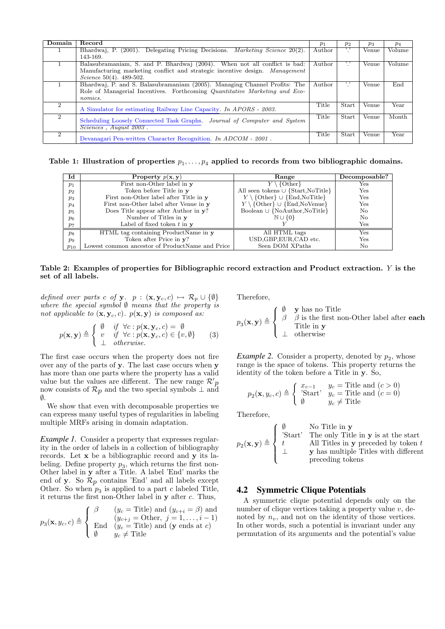| Domain                      | Record                                                                             | $p_1$  | $p_2$        | $p_3$ | $p_4$  |
|-----------------------------|------------------------------------------------------------------------------------|--------|--------------|-------|--------|
|                             | Bhardwaj, P. (2001). Delegating Pricing Decisions. <i>Marketing Science</i> 20(2). | Author | , ,          | Venue | Volume |
|                             | 143-169.                                                                           |        |              |       |        |
|                             | Balasubramaniam, S. and P. Bhardwaj (2004). When not all conflict is bad:          | Author | , ,          | Venue | Volume |
|                             | Manufacturing marketing conflict and strategic incentive design. Manufacturing     |        |              |       |        |
|                             | Science $50(4)$ . 489-502.                                                         |        |              |       |        |
|                             | Bhardwaj, P. and S. Balasubramaniam (2005). Managing Channel Profits: The          | Author | $, \,$       | Venue | End    |
|                             | Role of Managerial Incentives. Forthcoming Quantitative Marketing and Eco-         |        |              |       |        |
|                             | nomics.                                                                            |        |              |       |        |
| 2                           | A Simulator for estimating Railway Line Capacity. In APORS - 2003.                 | Title  | Start        | Venue | Year   |
| $\overline{2}$              | Scheduling Loosely Connected Task Graphs. Journal of Computer and System           | Title  | <b>Start</b> | Venue | Month  |
|                             | $\overline{Science}$ , August 2003.                                                |        |              |       |        |
| $\mathcal{D}_{\mathcal{L}}$ |                                                                                    |        |              |       |        |
|                             | Devanagari Pen-written Character Recognition. In $ADCOM - 2001$ .                  | Title  | Start        | Venue | Year   |

Table 1: Illustration of properties  $p_1, \ldots, p_4$  applied to records from two bibliographic domains.

| Id             | Property $p(x, y)$                              | Range                                                               | Decomposable? |
|----------------|-------------------------------------------------|---------------------------------------------------------------------|---------------|
| p <sub>1</sub> | First non-Other label in y                      | $Y \setminus \{\text{Other}\}\$                                     | Yes           |
| $p_2$          | Token before Title in y                         | All seen tokens $\cup$ {Start, NoTitle}                             | Yes           |
| $p_3$          | First non-Other label after Title in y          | $Y \setminus \{\text{Other}\} \cup \{\text{End}, \text{NoTitle}\}\$ | Yes           |
| $p_4$          | First non-Other label after Venue in y          | $Y \setminus \{\text{Other}\} \cup \{\text{End},\text{NoVenue}\}\$  | Yes           |
| $p_5$          | Does Title appear after Author in y?            | Boolean $\cup$ {NoAuthor,NoTitle}                                   | No.           |
| $p_6$          | Number of Titles in y                           | $\mathbb{N} \cup \{0\}$                                             | No.           |
| $p_7$          | Label of fixed token $t$ in $y$                 |                                                                     | Yes           |
| $p_8$          | HTML tag containing ProductName in y            | All HTML tags                                                       | $_{\rm Yes}$  |
| $p_9$          | Token after Price in y?                         | USD, GBP, EUR, CAD etc.                                             | Yes           |
| $p_{10}$       | Lowest common ancestor of ProductName and Price | Seen DOM XPaths                                                     | No            |

### Table 2: Examples of properties for Bibliographic record extraction and Product extraction. Y is the set of all labels.

defined over parts c of y.  $p : (\mathbf{x}, \mathbf{y}_c, c) \mapsto \mathcal{R}_p \cup \{\emptyset\}$ where the special symbol  $\emptyset$  means that the property is not applicable to  $(\mathbf{x}, \mathbf{y}_c, c)$ .  $p(\mathbf{x}, \mathbf{y})$  is composed as:

$$
p(\mathbf{x}, \mathbf{y}) \triangleq \begin{cases} \n\emptyset & \text{if } \forall c : p(\mathbf{x}, \mathbf{y}_c, c) = \emptyset \\ \n v & \text{if } \forall c : p(\mathbf{x}, \mathbf{y}_c, c) \in \{v, \emptyset\} \\ \n\perp & otherwise. \n\end{cases} \n\tag{3}
$$

The first case occurs when the property does not fire over any of the parts of y. The last case occurs when y has more than one parts where the property has a valid value but the values are different. The new range  $\mathcal{R}'p$ now consists of  $\mathcal{R}_p$  and the two special symbols  $\perp$  and  $\emptyset$ .

We show that even with decomposable properties we can express many useful types of regularities in labeling multiple MRFs arising in domain adaptation.

*Example 1.* Consider a property that expresses regularity in the order of labels in a collection of bibliography records. Let x be a bibliographic record and y its labeling. Define property  $p_3$ , which returns the first non-Other label in y after a Title. A label 'End' marks the end of y. So  $\mathcal{R}_p$  contains 'End' and all labels except Other. So when  $p_3$  is applied to a part c labeled Title, it returns the first non-Other label in y after c. Thus,

$$
p_3(\mathbf{x}, y_c, c) \triangleq \begin{cases} \beta & (y_c = \text{Title}) \text{ and } (y_{c+i} = \beta) \text{ and} \\ (y_{c+j} = \text{Other}, j = 1, \dots, i-1) \\ \text{End} & (y_c = \text{Title}) \text{ and } (\mathbf{y} \text{ ends at } c) \\ \emptyset & y_c \neq \text{Title} \end{cases}
$$

Therefore,

$$
p_3(\mathbf{x}, \mathbf{y}) \triangleq \left\{ \begin{array}{ll} \emptyset & \mathbf{y} \text{ has no Title} \\ \beta & \beta \text{ is the first non-Other label after each} \\ \text{Title in } \mathbf{y} \\ \bot & \text{otherwise} \end{array} \right.
$$

*Example 2.* Consider a property, denoted by  $p_2$ , whose range is the space of tokens. This property returns the identity of the token before a Title in y. So,

$$
p_2(\mathbf{x}, y_c, c) \triangleq \begin{cases} x_{c-1} & y_c = \text{Title and } (c > 0) \\ \text{'Start'} & y_c = \text{Title and } (c = 0) \\ \emptyset & y_c \neq \text{Title} \end{cases}
$$

Therefore,

$$
p_2(\mathbf{x}, \mathbf{y}) \triangleq \left\{ \begin{array}{ll} \emptyset & \text{No Title in } \mathbf{y} \\ \text{'Start'} & \text{The only Title in } \mathbf{y} \text{ is at the start} \\ t & \text{All Titles in } \mathbf{y} \text{ preceded by token } t \\ \bot & \mathbf{y} \text{ has multiple Titles with different} \\ \text{preceding tokens} \end{array} \right.
$$

### 4.2 Symmetric Clique Potentials

A symmetric clique potential depends only on the number of clique vertices taking a property value  $v$ , denoted by  $n_v$ , and not on the identity of those vertices. In other words, such a potential is invariant under any permutation of its arguments and the potential's value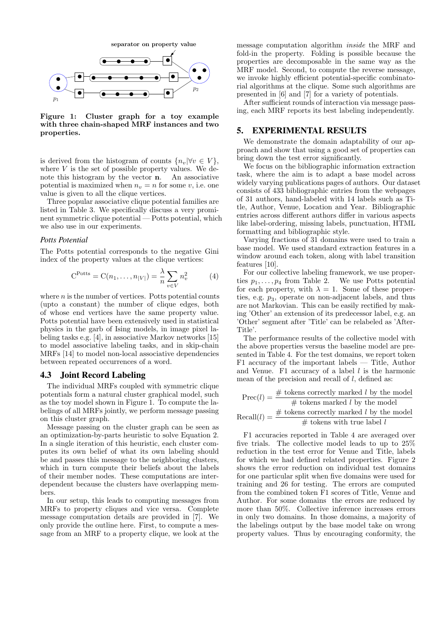

Figure 1: Cluster graph for a toy example with three chain-shaped MRF instances and two properties.

is derived from the histogram of counts  $\{n_v|\forall v \in V\},\$ where  $V$  is the set of possible property values. We denote this histogram by the vector n. An associative potential is maximized when  $n_v = n$  for some v, i.e. one value is given to all the clique vertices.

Three popular associative clique potential families are listed in Table 3. We specifically discuss a very prominent symmetric clique potential — Potts potential, which we also use in our experiments.

#### *Potts Potential*

The Potts potential corresponds to the negative Gini index of the property values at the clique vertices:

$$
CPotts = C(n1,...,n|V|) = \frac{\lambda}{n} \sum_{v \in V} n_v^2
$$
 (4)

where  $n$  is the number of vertices. Potts potential counts (upto a constant) the number of clique edges, both of whose end vertices have the same property value. Potts potential have been extensively used in statistical physics in the garb of Ising models, in image pixel labeling tasks e.g. [4], in associative Markov networks [15] to model associative labeling tasks, and in skip-chain MRFs [14] to model non-local associative dependencies between repeated occurrences of a word.

### 4.3 Joint Record Labeling

The individual MRFs coupled with symmetric clique potentials form a natural cluster graphical model, such as the toy model shown in Figure 1. To compute the labelings of all MRFs jointly, we perform message passing on this cluster graph.

Message passing on the cluster graph can be seen as an optimization-by-parts heuristic to solve Equation 2. In a single iteration of this heuristic, each cluster computes its own belief of what its own labeling should be and passes this message to the neighboring clusters, which in turn compute their beliefs about the labels of their member nodes. These computations are interdependent because the clusters have overlapping members.

In our setup, this leads to computing messages from MRFs to property cliques and vice versa. Complete message computation details are provided in [7]. We only provide the outline here. First, to compute a message from an MRF to a property clique, we look at the

message computation algorithm inside the MRF and fold-in the property. Folding is possible because the properties are decomposable in the same way as the MRF model. Second, to compute the reverse message, we invoke highly efficient potential-specific combinatorial algorithms at the clique. Some such algorithms are presented in [6] and [7] for a variety of potentials.

After sufficient rounds of interaction via message passing, each MRF reports its best labeling independently.

### 5. EXPERIMENTAL RESULTS

We demonstrate the domain adaptability of our approach and show that using a good set of properties can bring down the test error significantly.

We focus on the bibliographic information extraction task, where the aim is to adapt a base model across widely varying publications pages of authors. Our dataset consists of 433 bibliographic entries from the webpages of 31 authors, hand-labeled with 14 labels such as Title, Author, Venue, Location and Year. Bibliographic entries across different authors differ in various aspects like label-ordering, missing labels, punctuation, HTML formatting and bibliographic style.

Varying fractions of 31 domains were used to train a base model. We used standard extraction features in a window around each token, along with label transition features [10].

For our collective labeling framework, we use properties  $p_1, \ldots, p_4$  from Table 2. We use Potts potential for each property, with  $\lambda = 1$ . Some of these properties, e.g.  $p_3$ , operate on non-adjacent labels, and thus are not Markovian. This can be easily rectified by making 'Other' an extension of its predecessor label, e.g. an 'Other' segment after 'Title' can be relabeled as 'After-Title'.

The performance results of the collective model with the above properties versus the baseline model are presented in Table 4. For the test domains, we report token F1 accuracy of the important labels — Title, Author and Venue. F1 accuracy of a label  $l$  is the harmonic mean of the precision and recall of  $l$ , defined as:

$$
Prec(l) = \frac{\# \text{ tokens correctly marked } l \text{ by the model}}{\# \text{ tokens marked } l \text{ by the model}}
$$
  
Recall(l) =  $\frac{\# \text{ tokens correctly marked } l \text{ by the model}}{\# \text{ tokens with true label } l}$ 

F1 accuracies reported in Table 4 are averaged over five trials. The collective model leads to up to 25% reduction in the test error for Venue and Title, labels for which we had defined related properties. Figure 2 shows the error reduction on individual test domains for one particular split when five domains were used for training and 26 for testing. The errors are computed from the combined token F1 scores of Title, Venue and Author. For some domains the errors are reduced by more than 50%. Collective inference increases errors in only two domains. In those domains, a majority of the labelings output by the base model take on wrong property values. Thus by encouraging conformity, the